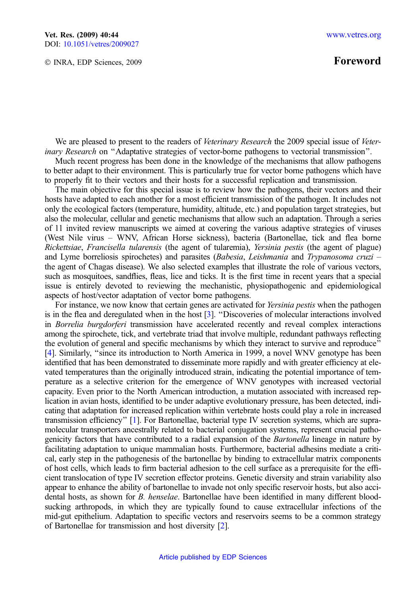© INRA, EDP Sciences, 2009

## Foreword

We are pleased to present to the readers of Veterinary Research the 2009 special issue of Veterinary Research on ''Adaptative strategies of vector-borne pathogens to vectorial transmission''.

Much recent progress has been done in the knowledge of the mechanisms that allow pathogens to better adapt to their environment. This is particularly true for vector borne pathogens which have to properly fit to their vectors and their hosts for a successful replication and transmission.

The main objective for this special issue is to review how the pathogens, their vectors and their hosts have adapted to each another for a most efficient transmission of the pathogen. It includes not only the ecological factors (temperature, humidity, altitude, etc.) and population target strategies, but also the molecular, cellular and genetic mechanisms that allow such an adaptation. Through a series of 11 invited review manuscripts we aimed at covering the various adaptive strategies of viruses (West Nile virus – WNV, African Horse sickness), bacteria (Bartonellae, tick and flea borne Rickettsiae, Francisella tularensis (the agent of tularemia), Yersinia pestis (the agent of plague) and Lyme borreliosis spirochetes) and parasites (Babesia, Leishmania and Trypanosoma cruzi – the agent of Chagas disease). We also selected examples that illustrate the role of various vectors, such as mosquitoes, sandflies, fleas, lice and ticks. It is the first time in recent years that a special issue is entirely devoted to reviewing the mechanistic, physiopathogenic and epidemiological aspects of host/vector adaptation of vector borne pathogens.

For instance, we now know that certain genes are activated for *Yersinia pestis* when the pathogen is in the flea and deregulated when in the host [\[3\]](#page-1-0). ''Discoveries of molecular interactions involved in Borrelia burgdorferi transmission have accelerated recently and reveal complex interactions among the spirochete, tick, and vertebrate triad that involve multiple, redundant pathways reflecting the evolution of general and specific mechanisms by which they interact to survive and reproduce'' [\[4\]](#page-1-0). Similarly, ''since its introduction to North America in 1999, a novel WNV genotype has been identified that has been demonstrated to disseminate more rapidly and with greater efficiency at elevated temperatures than the originally introduced strain, indicating the potential importance of temperature as a selective criterion for the emergence of WNV genotypes with increased vectorial capacity. Even prior to the North American introduction, a mutation associated with increased replication in avian hosts, identified to be under adaptive evolutionary pressure, has been detected, indicating that adaptation for increased replication within vertebrate hosts could play a role in increased transmission efficiency'' [\[1](#page-1-0)]. For Bartonellae, bacterial type IV secretion systems, which are supramolecular transporters ancestrally related to bacterial conjugation systems, represent crucial pathogenicity factors that have contributed to a radial expansion of the *Bartonella* lineage in nature by facilitating adaptation to unique mammalian hosts. Furthermore, bacterial adhesins mediate a critical, early step in the pathogenesis of the bartonellae by binding to extracellular matrix components of host cells, which leads to firm bacterial adhesion to the cell surface as a prerequisite for the efficient translocation of type IV secretion effector proteins. Genetic diversity and strain variability also appear to enhance the ability of bartonellae to invade not only specific reservoir hosts, but also accidental hosts, as shown for B. henselae. Bartonellae have been identified in many different bloodsucking arthropods, in which they are typically found to cause extracellular infections of the mid-gut epithelium. Adaptation to specific vectors and reservoirs seems to be a common strategy of Bartonellae for transmission and host diversity [\[2](#page-1-0)].